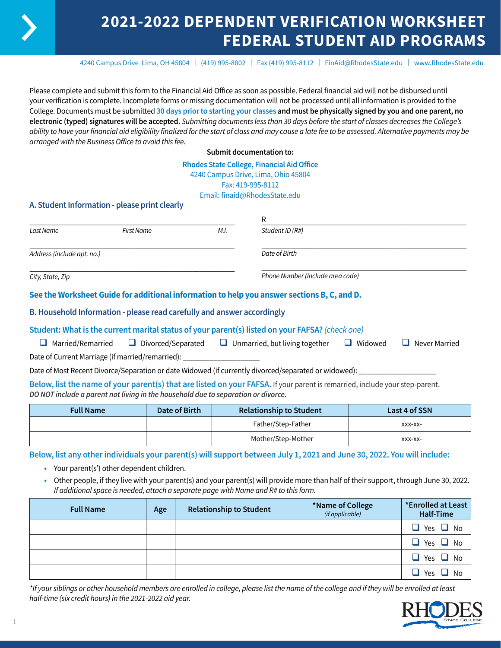# **2021-2022 DEPENDENT VERIFICATION WORKSHEET FEDERAL STUDENT AID PROGRAMS**

4240 Campus Drive Lima, OH 45804 | (419) 995-8802 | Fax (419) 995-8112 | [FinAid@RhodesState.edu](mailto:FinAid@RhodesState.edu) | [www.RhodesState.edu](http://www.RhodesState.edu)

Please complete and submit this form to the Financial Aid Office as soon as possible. Federal financial aid will not be disbursed until your verification is complete. Incomplete forms or missing documentation will not be processed until all information is provided to the College. Documents must be submitted **30 days prior to starting your classes and must be physically signed by you and one parent, no electronic (typed) signatures will be accepted.** *Submitting documents less than 30 days before the start of classes decreases the College's ability to have your financial aid eligibility finalized for the start of class and may cause a late fee to be assessed. Alternative payments may be arranged with the Business Office to avoid this fee.*

**Submit documentation to:**

#### **Rhodes State College, Financial Aid Office** 4240 Campus Drive, Lima, Ohio 45804

Fax: 419-995-8112

Email: finaid@RhodesState.edu

## **A. Student Information - please print clearly**

|                            |                                                                                  |      | R                                                                                                                            |                |               |
|----------------------------|----------------------------------------------------------------------------------|------|------------------------------------------------------------------------------------------------------------------------------|----------------|---------------|
| Last Name                  | <b>First Name</b>                                                                | M.I. | Student ID (R#)                                                                                                              |                |               |
| Address (include apt. no.) |                                                                                  |      | Date of Birth                                                                                                                |                |               |
| City, State, Zip           |                                                                                  |      | Phone Number (Include area code)                                                                                             |                |               |
|                            |                                                                                  |      | See the Worksheet Guide for additional information to help you answer sections B, C, and D.                                  |                |               |
|                            | B. Household Information - please read carefully and answer accordingly          |      |                                                                                                                              |                |               |
|                            |                                                                                  |      | Student: What is the current marital status of your parent(s) listed on your FAFSA? (check one)                              |                |               |
| Married/Remarried          |                                                                                  |      | $\Box$ Divorced/Separated $\Box$ Unmarried, but living together                                                              | $\Box$ Widowed | Never Married |
|                            | Date of Current Marriage (if married/remarried): _______________________________ |      |                                                                                                                              |                |               |
|                            |                                                                                  |      | Date of Most Recent Divorce/Separation or date Widowed (if currently divorced/separated or widowed):                         |                |               |
|                            |                                                                                  |      | Below, list the name of your parent(s) that are listed on your FAFSA. If your parent is remarried, include your step-parent. |                |               |

*DO NOT include a parent not living in the household due to separation or divorce.*

| <b>Full Name</b> | Date of Birth | <b>Relationship to Student</b> | Last 4 of SSN |
|------------------|---------------|--------------------------------|---------------|
|                  |               | Father/Step-Father             | XXX-XX-       |
|                  |               | Mother/Step-Mother             | XXX-XX-       |

**Below, list any other individuals your parent(s) will support between July 1, 2021 and June 30, 2022. You will include:**

- **•** Your parent(s') other dependent children.
- **•** Other people, if they live with your parent(s) and your parent(s) will provide more than half of their support, through June 30, 2022. *If additional space is needed, attach a separate page with Name and R# to this form.*

| <b>Full Name</b> | Age | <b>Relationship to Student</b> | *Name of College<br>(if applicable) | *Enrolled at Least<br>Half-Time |
|------------------|-----|--------------------------------|-------------------------------------|---------------------------------|
|                  |     |                                |                                     | $\Box$ Yes $\Box$ No            |
|                  |     |                                |                                     | $\Box$ Yes $\Box$ No            |
|                  |     |                                |                                     | $\Box$ Yes $\Box$ No            |
|                  |     |                                |                                     | $\Box$ Yes $\Box$ No            |

*\*If your siblings or other household members are enrolled in college, please list the name of the college and if they will be enrolled at least half-time (six credit hours) in the 2021-2022 aid year.*

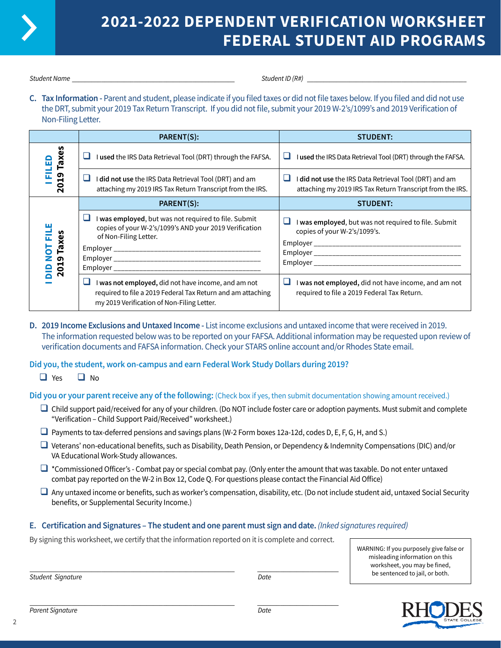

# **2021-2022 DEPENDENT VERIFICATION WORKSHEET FEDERAL STUDENT AID PROGRAMS**

*Student Name* \_\_\_\_\_\_\_\_\_\_\_\_\_\_\_\_\_\_\_\_\_\_\_\_\_\_\_\_\_\_\_\_\_\_\_\_\_\_\_\_\_\_\_\_\_\_\_\_\_\_ *Student ID (R#)* \_\_\_\_\_\_\_\_\_\_\_\_\_\_\_\_\_\_\_\_\_\_\_\_\_\_\_\_\_\_\_\_\_\_\_\_\_\_\_\_\_\_\_\_\_\_\_\_\_

**C. Tax Information -** Parent and student, please indicate if you filed taxes or did not file taxes below. If you filed and did not use the DRT, submit your 2019 Tax Return Transcript. If you did not file, submit your 2019 W-2's/1099's and 2019 Verification of Non-Filing Letter.

|                                           | PARENT(S):                                                                                                                                                       | <b>STUDENT:</b>                                                                                                     |
|-------------------------------------------|------------------------------------------------------------------------------------------------------------------------------------------------------------------|---------------------------------------------------------------------------------------------------------------------|
| ٩                                         | I used the IRS Data Retrieval Tool (DRT) through the FAFSA.                                                                                                      | I used the IRS Data Retrieval Tool (DRT) through the FAFSA.<br>ப                                                    |
| 2019 Taxes<br>됴                           | ப<br>I did not use the IRS Data Retrieval Tool (DRT) and am<br>attaching my 2019 IRS Tax Return Transcript from the IRS.                                         | I did not use the IRS Data Retrieval Tool (DRT) and am<br>attaching my 2019 IRS Tax Return Transcript from the IRS. |
|                                           | PARENT(S):                                                                                                                                                       | <b>STUDENT:</b>                                                                                                     |
| ш<br>2019 Taxes<br>룬<br><b>NOT</b><br>alo | I was employed, but was not required to file. Submit<br>copies of your W-2's/1099's AND your 2019 Verification<br>of Non-Filing Letter.                          | I was employed, but was not required to file. Submit<br>copies of your W-2's/1099's.<br>Employer                    |
|                                           | I was not employed, did not have income, and am not<br>required to file a 2019 Federal Tax Return and am attaching<br>my 2019 Verification of Non-Filing Letter. | I was not employed, did not have income, and am not<br>required to file a 2019 Federal Tax Return.                  |

**D. 2019 Income Exclusions and Untaxed Income -** List income exclusions and untaxed income that were received in 2019. The information requested below was to be reported on your FAFSA. Additional information may be requested upon review of verification documents and FAFSA information. Check your STARS online account and/or Rhodes State email.

# **Did you, the student, work on-campus and earn Federal Work Study Dollars during 2019?**

 $\Box$  Yes  $\Box$  No

**Did you or your parent receive any of the following:** (Check box if yes, then submit documentation showing amount received.)

- $\Box$  Child support paid/received for any of your children. (Do NOT include foster care or adoption payments. Must submit and complete "Verification – Child Support Paid/Received" worksheet.)
- $\Box$  Payments to tax-deferred pensions and savings plans (W-2 Form boxes 12a-12d, codes D, E, F, G, H, and S.)
- q Veterans' non-educational benefits, such as Disability, Death Pension, or Dependency & Indemnity Compensations (DIC) and/or VA Educational Work-Study allowances.
- $\Box$  \*Commissioned Officer's Combat pay or special combat pay. (Only enter the amount that was taxable. Do not enter untaxed combat pay reported on the W-2 in Box 12, Code Q. For questions please contact the Financial Aid Office)
- $\Box$  Any untaxed income or benefits, such as worker's compensation, disability, etc. (Do not include student aid, untaxed Social Security benefits, or Supplemental Security Income.)

### **E. Certification and Signatures – The student and one parent must sign and date.** *(Inked signatures required)*

By signing this worksheet, we certify that the information reported on it is complete and correct.

\_\_\_\_\_\_\_\_\_\_\_\_\_\_\_\_\_\_\_\_\_\_\_\_\_\_\_\_\_\_\_\_\_\_\_\_\_\_\_\_\_\_\_\_\_\_\_\_\_\_\_\_\_\_\_\_\_\_\_\_\_\_\_ \_\_\_\_\_\_\_\_\_\_\_\_\_\_\_\_\_\_\_\_\_\_\_\_\_

WARNING: If you purposely give false or misleading information on this worksheet, you may be fined, be sentenced to jail, or both.

*Student Signature Date*

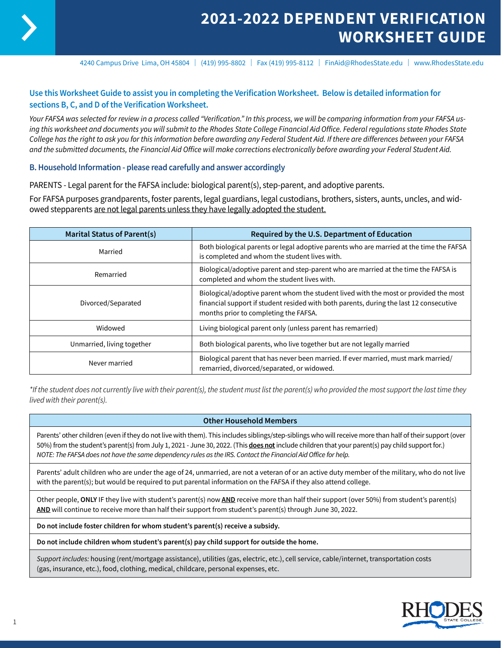

4240 Campus Drive Lima, OH 45804 | (419) 995-8802 | Fax (419) 995-8112 | FinAid@RhodesState.edu | www.RhodesState.edu

# **Use this Worksheet Guide to assist you in completing the Verification Worksheet. Below is detailed information for sections B, C, and D of the Verification Worksheet.**

*Your FAFSA was selected for review in a process called "Verification." In this process, we will be comparing information from your FAFSA using this worksheet and documents you will submit to the Rhodes State College Financial Aid Office. Federal regulations state Rhodes State College has the right to ask you for this information before awarding any Federal Student Aid. If there are differences between your FAFSA and the submitted documents, the Financial Aid Office will make corrections electronically before awarding your Federal Student Aid.*

#### **B. Household Information - please read carefully and answer accordingly**

PARENTS - Legal parent for the FAFSA include: biological parent(s), step-parent, and adoptive parents.

For FAFSA purposes grandparents, foster parents, legal guardians, legal custodians, brothers, sisters, aunts, uncles, and widowed stepparents are not legal parents unless they have legally adopted the student.

| <b>Marital Status of Parent(s)</b> | Required by the U.S. Department of Education                                                                                                                                                                            |  |
|------------------------------------|-------------------------------------------------------------------------------------------------------------------------------------------------------------------------------------------------------------------------|--|
| Married                            | Both biological parents or legal adoptive parents who are married at the time the FAFSA<br>is completed and whom the student lives with.                                                                                |  |
| Remarried                          | Biological/adoptive parent and step-parent who are married at the time the FAFSA is<br>completed and whom the student lives with.                                                                                       |  |
| Divorced/Separated                 | Biological/adoptive parent whom the student lived with the most or provided the most<br>financial support if student resided with both parents, during the last 12 consecutive<br>months prior to completing the FAFSA. |  |
| Widowed                            | Living biological parent only (unless parent has remarried)                                                                                                                                                             |  |
| Unmarried, living together         | Both biological parents, who live together but are not legally married                                                                                                                                                  |  |
| Never married                      | Biological parent that has never been married. If ever married, must mark married/<br>remarried, divorced/separated, or widowed.                                                                                        |  |

*\*If the student does not currently live with their parent(s), the student must list the parent(s) who provided the most support the last time they lived with their parent(s).*

#### **Other Household Members**

Parents' other children (even if they do not live with them). This includes siblings/step-siblings who will receive more than half of their support (over 50%) from the student's parent(s) from July 1, 2021 - June 30, 2022. (This **does not** include children that your parent(s) pay child support for.) *NOTE: The FAFSA does not have the same dependency rules as the IRS. Contact the Financial Aid Office for help.*

Parents' adult children who are under the age of 24, unmarried, are not a veteran of or an active duty member of the military, who do not live with the parent(s); but would be required to put parental information on the FAFSA if they also attend college.

Other people, **ONLY** IF they live with student's parent(s) now **AND** receive more than half their support (over 50%) from student's parent(s) **AND** will continue to receive more than half their support from student's parent(s) through June 30, 2022.

**Do not include foster children for whom student's parent(s) receive a subsidy.**

**Do not include children whom student's parent(s) pay child support for outside the home.** 

*Support includes:* housing (rent/mortgage assistance), utilities (gas, electric, etc.), cell service, cable/internet, transportation costs (gas, insurance, etc.), food, clothing, medical, childcare, personal expenses, etc.